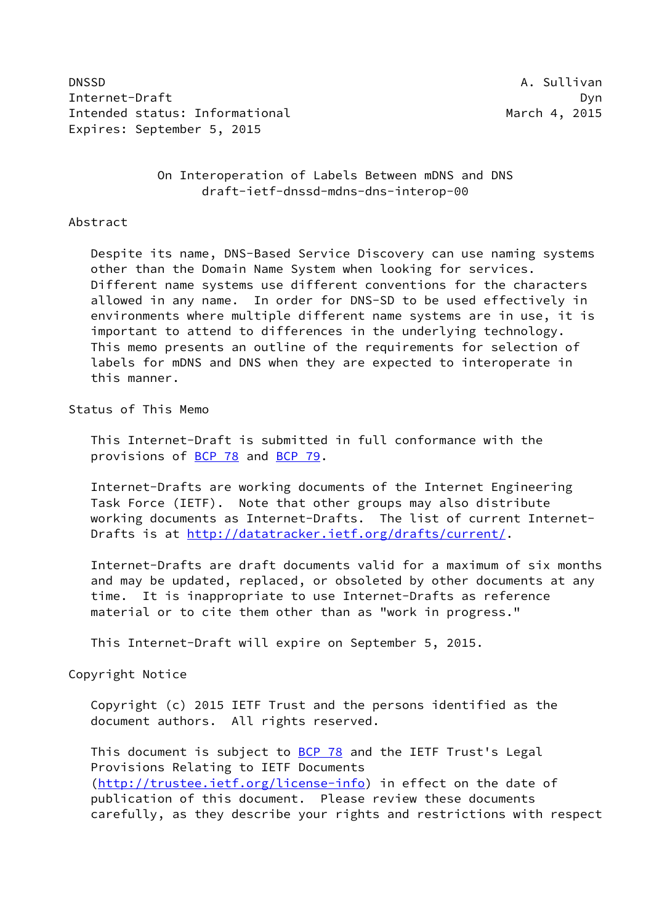DNSSD **A. Sullivan** Internet-Draft Dyn Intended status: Informational and March 4, 2015 Expires: September 5, 2015

# On Interoperation of Labels Between mDNS and DNS draft-ietf-dnssd-mdns-dns-interop-00

#### Abstract

 Despite its name, DNS-Based Service Discovery can use naming systems other than the Domain Name System when looking for services. Different name systems use different conventions for the characters allowed in any name. In order for DNS-SD to be used effectively in environments where multiple different name systems are in use, it is important to attend to differences in the underlying technology. This memo presents an outline of the requirements for selection of labels for mDNS and DNS when they are expected to interoperate in this manner.

#### Status of This Memo

 This Internet-Draft is submitted in full conformance with the provisions of [BCP 78](https://datatracker.ietf.org/doc/pdf/bcp78) and [BCP 79](https://datatracker.ietf.org/doc/pdf/bcp79).

 Internet-Drafts are working documents of the Internet Engineering Task Force (IETF). Note that other groups may also distribute working documents as Internet-Drafts. The list of current Internet- Drafts is at<http://datatracker.ietf.org/drafts/current/>.

 Internet-Drafts are draft documents valid for a maximum of six months and may be updated, replaced, or obsoleted by other documents at any time. It is inappropriate to use Internet-Drafts as reference material or to cite them other than as "work in progress."

This Internet-Draft will expire on September 5, 2015.

## Copyright Notice

 Copyright (c) 2015 IETF Trust and the persons identified as the document authors. All rights reserved.

This document is subject to **[BCP 78](https://datatracker.ietf.org/doc/pdf/bcp78)** and the IETF Trust's Legal Provisions Relating to IETF Documents [\(http://trustee.ietf.org/license-info](http://trustee.ietf.org/license-info)) in effect on the date of publication of this document. Please review these documents carefully, as they describe your rights and restrictions with respect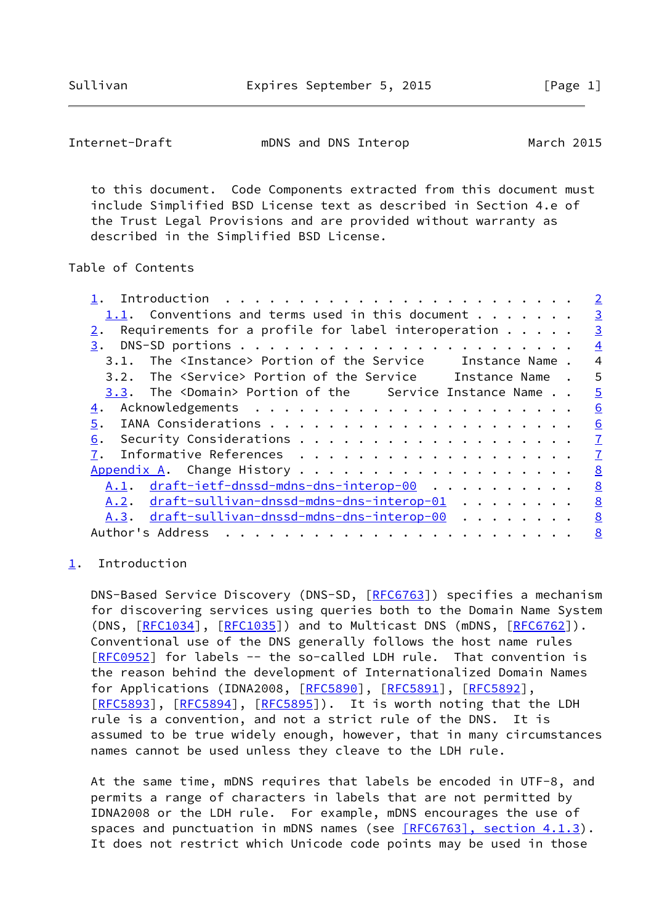<span id="page-1-1"></span>Internet-Draft mDNS and DNS Interop March 2015

 to this document. Code Components extracted from this document must include Simplified BSD License text as described in Section 4.e of the Trust Legal Provisions and are provided without warranty as described in the Simplified BSD License.

## Table of Contents

|                                                                          | $\overline{2}$ |
|--------------------------------------------------------------------------|----------------|
| 1.1. Conventions and terms used in this document                         | $\overline{3}$ |
| Requirements for a profile for label interoperation $\dots$ .            | $\overline{3}$ |
|                                                                          | $\overline{4}$ |
| The <instance> Portion of the Service Instance Name.<br/>3.1.</instance> | $\overline{4}$ |
| 3.2. The <service> Portion of the Service Instance Name.</service>       | 5              |
| 3.3. The <domain> Portion of the Service Instance Name</domain>          | $\overline{5}$ |
| 4.                                                                       | 6              |
| 5.                                                                       | 6              |
| 6.                                                                       | $\mathbf{I}$   |
| 7.                                                                       | $\overline{1}$ |
|                                                                          | 8              |
| <u>A.1</u> . draft-ietf-dnssd-mdns-dns-interop-00                        | 8              |
| A.2. draft-sullivan-dnssd-mdns-dns-interop-01                            | <u>8</u>       |
| <u>A.3. draft-sullivan-dnssd-mdns-dns-interop-00</u>                     | 8              |
| Author's Address<br>.                                                    | 8              |
|                                                                          |                |

## <span id="page-1-0"></span>[1](#page-1-0). Introduction

 DNS-Based Service Discovery (DNS-SD, [\[RFC6763](https://datatracker.ietf.org/doc/pdf/rfc6763)]) specifies a mechanism for discovering services using queries both to the Domain Name System (DNS,  $[REC1034]$ ,  $[REC1035]$ ) and to Multicast DNS (mDNS,  $[REC6762]$ ). Conventional use of the DNS generally follows the host name rules [\[RFC0952](https://datatracker.ietf.org/doc/pdf/rfc0952)] for labels -- the so-called LDH rule. That convention is the reason behind the development of Internationalized Domain Names for Applications (IDNA2008, [\[RFC5890](https://datatracker.ietf.org/doc/pdf/rfc5890)], [\[RFC5891](https://datatracker.ietf.org/doc/pdf/rfc5891)], [[RFC5892](https://datatracker.ietf.org/doc/pdf/rfc5892)], [\[RFC5893](https://datatracker.ietf.org/doc/pdf/rfc5893)], [[RFC5894\]](https://datatracker.ietf.org/doc/pdf/rfc5894), [[RFC5895](https://datatracker.ietf.org/doc/pdf/rfc5895)]). It is worth noting that the LDH rule is a convention, and not a strict rule of the DNS. It is assumed to be true widely enough, however, that in many circumstances names cannot be used unless they cleave to the LDH rule.

 At the same time, mDNS requires that labels be encoded in UTF-8, and permits a range of characters in labels that are not permitted by IDNA2008 or the LDH rule. For example, mDNS encourages the use of spaces and punctuation in mDNS names (see **[RFC6763]**, section 4.1.3). It does not restrict which Unicode code points may be used in those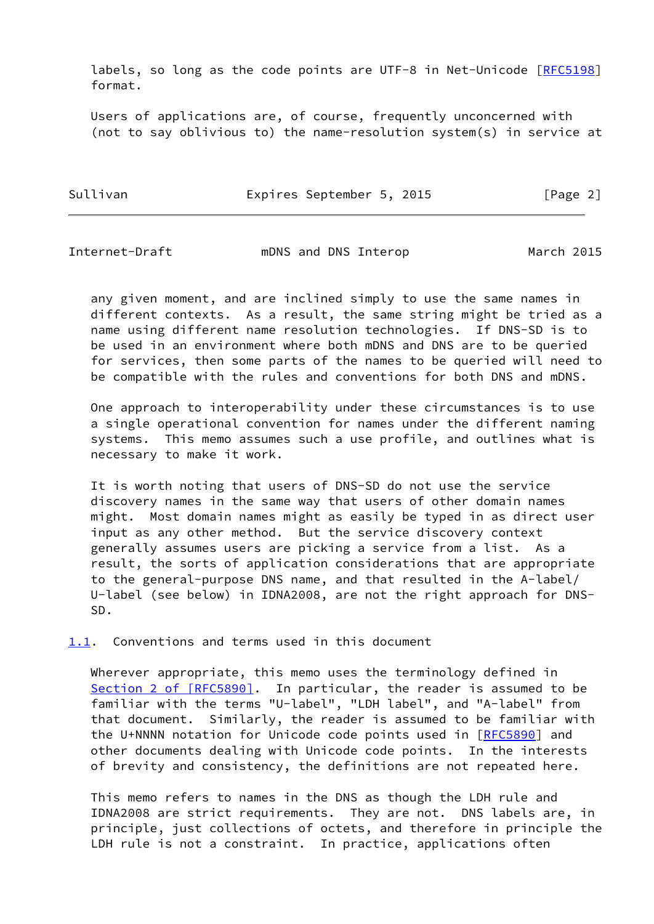labels, so long as the code points are UTF-8 in Net-Unicode [\[RFC5198](https://datatracker.ietf.org/doc/pdf/rfc5198)] format.

 Users of applications are, of course, frequently unconcerned with (not to say oblivious to) the name-resolution system(s) in service at

Sullivan **Expires September 5, 2015** [Page 2]

<span id="page-2-1"></span>Internet-Draft mDNS and DNS Interop March 2015

 any given moment, and are inclined simply to use the same names in different contexts. As a result, the same string might be tried as a name using different name resolution technologies. If DNS-SD is to be used in an environment where both mDNS and DNS are to be queried for services, then some parts of the names to be queried will need to be compatible with the rules and conventions for both DNS and mDNS.

 One approach to interoperability under these circumstances is to use a single operational convention for names under the different naming systems. This memo assumes such a use profile, and outlines what is necessary to make it work.

 It is worth noting that users of DNS-SD do not use the service discovery names in the same way that users of other domain names might. Most domain names might as easily be typed in as direct user input as any other method. But the service discovery context generally assumes users are picking a service from a list. As a result, the sorts of application considerations that are appropriate to the general-purpose DNS name, and that resulted in the A-label/ U-label (see below) in IDNA2008, are not the right approach for DNS- SD.

<span id="page-2-0"></span>[1.1](#page-2-0). Conventions and terms used in this document

 Wherever appropriate, this memo uses the terminology defined in Section [2 of \[RFC5890\]](https://datatracker.ietf.org/doc/pdf/rfc5890#section-2). In particular, the reader is assumed to be familiar with the terms "U-label", "LDH label", and "A-label" from that document. Similarly, the reader is assumed to be familiar with the U+NNNN notation for Unicode code points used in [\[RFC5890](https://datatracker.ietf.org/doc/pdf/rfc5890)] and other documents dealing with Unicode code points. In the interests of brevity and consistency, the definitions are not repeated here.

 This memo refers to names in the DNS as though the LDH rule and IDNA2008 are strict requirements. They are not. DNS labels are, in principle, just collections of octets, and therefore in principle the LDH rule is not a constraint. In practice, applications often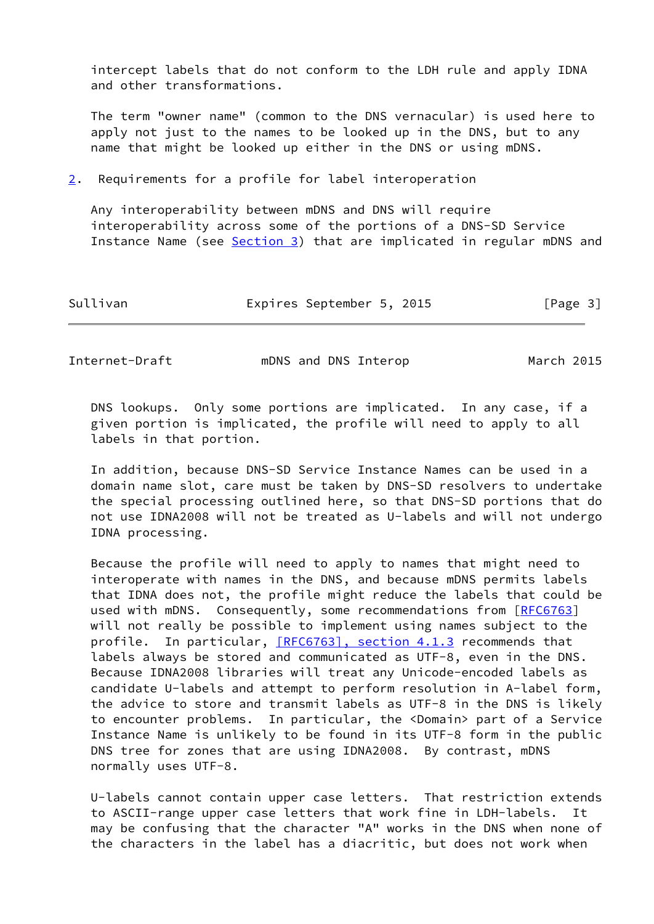intercept labels that do not conform to the LDH rule and apply IDNA and other transformations.

 The term "owner name" (common to the DNS vernacular) is used here to apply not just to the names to be looked up in the DNS, but to any name that might be looked up either in the DNS or using mDNS.

<span id="page-3-0"></span>[2](#page-3-0). Requirements for a profile for label interoperation

 Any interoperability between mDNS and DNS will require interoperability across some of the portions of a DNS-SD Service Instance Name (see [Section 3\)](#page-4-0) that are implicated in regular mDNS and

| Sullivan | Expires September 5, 2015 |  |  | [Page 3] |
|----------|---------------------------|--|--|----------|
|----------|---------------------------|--|--|----------|

<span id="page-3-1"></span>Internet-Draft mDNS and DNS Interop March 2015

 DNS lookups. Only some portions are implicated. In any case, if a given portion is implicated, the profile will need to apply to all labels in that portion.

 In addition, because DNS-SD Service Instance Names can be used in a domain name slot, care must be taken by DNS-SD resolvers to undertake the special processing outlined here, so that DNS-SD portions that do not use IDNA2008 will not be treated as U-labels and will not undergo IDNA processing.

 Because the profile will need to apply to names that might need to interoperate with names in the DNS, and because mDNS permits labels that IDNA does not, the profile might reduce the labels that could be used with mDNS. Consequently, some recommendations from [\[RFC6763](https://datatracker.ietf.org/doc/pdf/rfc6763)] will not really be possible to implement using names subject to the profile. In particular, [\[RFC6763\], section](https://datatracker.ietf.org/doc/pdf/rfc6763#section-4.1.3) 4.1.3 recommends that labels always be stored and communicated as UTF-8, even in the DNS. Because IDNA2008 libraries will treat any Unicode-encoded labels as candidate U-labels and attempt to perform resolution in A-label form, the advice to store and transmit labels as UTF-8 in the DNS is likely to encounter problems. In particular, the <Domain> part of a Service Instance Name is unlikely to be found in its UTF-8 form in the public DNS tree for zones that are using IDNA2008. By contrast, mDNS normally uses UTF-8.

 U-labels cannot contain upper case letters. That restriction extends to ASCII-range upper case letters that work fine in LDH-labels. It may be confusing that the character "A" works in the DNS when none of the characters in the label has a diacritic, but does not work when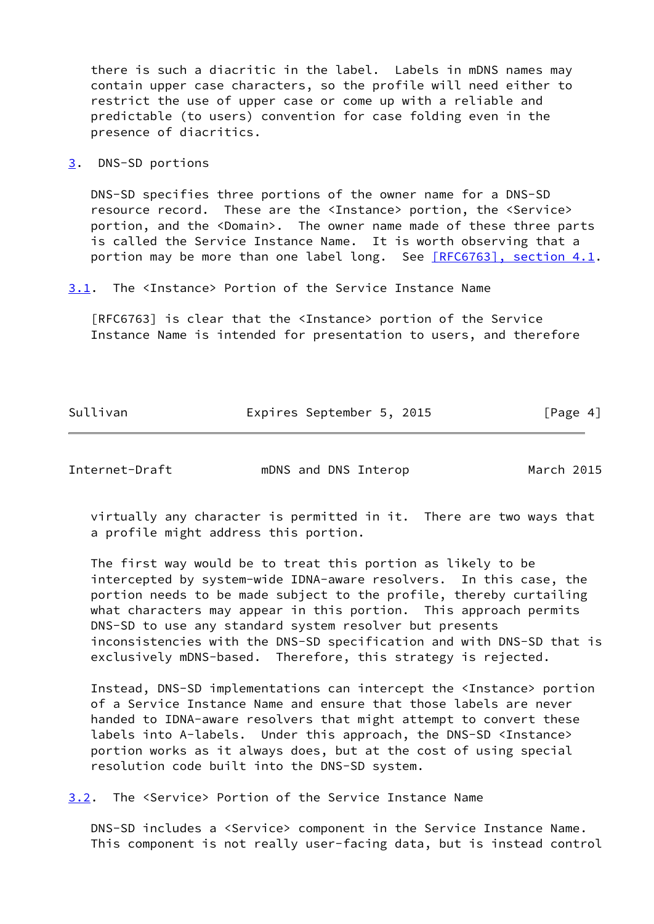there is such a diacritic in the label. Labels in mDNS names may contain upper case characters, so the profile will need either to restrict the use of upper case or come up with a reliable and predictable (to users) convention for case folding even in the presence of diacritics.

<span id="page-4-0"></span>[3](#page-4-0). DNS-SD portions

 DNS-SD specifies three portions of the owner name for a DNS-SD resource record. These are the <Instance> portion, the <Service> portion, and the <Domain>. The owner name made of these three parts is called the Service Instance Name. It is worth observing that a portion may be more than one label long. See [\[RFC6763\], section](https://datatracker.ietf.org/doc/pdf/rfc6763#section-4.1) 4.1.

<span id="page-4-2"></span>[3.1](#page-4-2). The <Instance> Portion of the Service Instance Name

 [RFC6763] is clear that the <Instance> portion of the Service Instance Name is intended for presentation to users, and therefore

Sullivan **Expires September 5, 2015** [Page 4]

<span id="page-4-1"></span>Internet-Draft mDNS and DNS Interop March 2015

 virtually any character is permitted in it. There are two ways that a profile might address this portion.

 The first way would be to treat this portion as likely to be intercepted by system-wide IDNA-aware resolvers. In this case, the portion needs to be made subject to the profile, thereby curtailing what characters may appear in this portion. This approach permits DNS-SD to use any standard system resolver but presents inconsistencies with the DNS-SD specification and with DNS-SD that is exclusively mDNS-based. Therefore, this strategy is rejected.

 Instead, DNS-SD implementations can intercept the <Instance> portion of a Service Instance Name and ensure that those labels are never handed to IDNA-aware resolvers that might attempt to convert these labels into A-labels. Under this approach, the DNS-SD <Instance> portion works as it always does, but at the cost of using special resolution code built into the DNS-SD system.

<span id="page-4-3"></span>[3.2](#page-4-3). The <Service> Portion of the Service Instance Name

 DNS-SD includes a <Service> component in the Service Instance Name. This component is not really user-facing data, but is instead control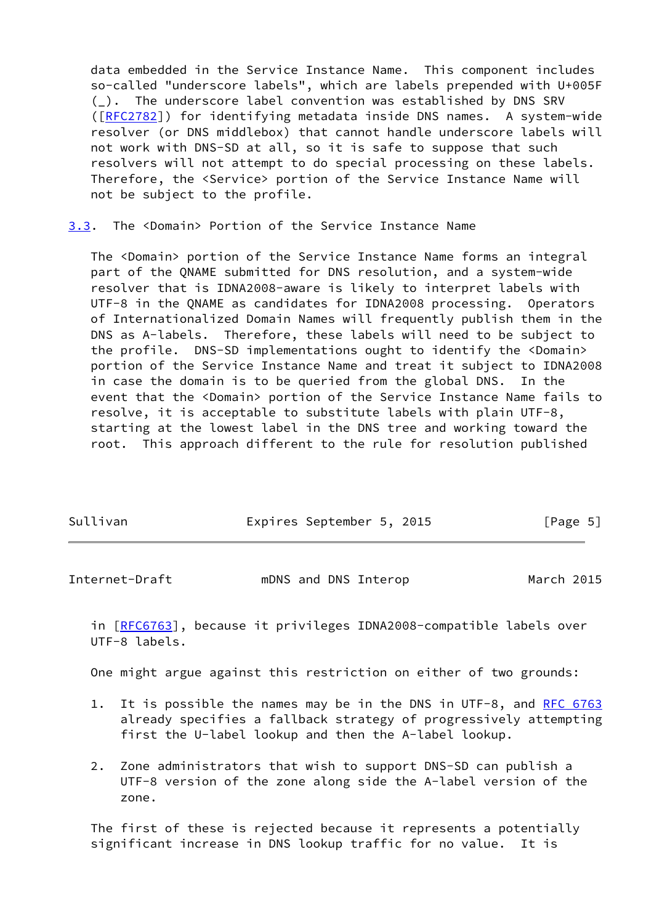data embedded in the Service Instance Name. This component includes so-called "underscore labels", which are labels prepended with U+005F (\_). The underscore label convention was established by DNS SRV ([\[RFC2782](https://datatracker.ietf.org/doc/pdf/rfc2782)]) for identifying metadata inside DNS names. A system-wide resolver (or DNS middlebox) that cannot handle underscore labels will not work with DNS-SD at all, so it is safe to suppose that such resolvers will not attempt to do special processing on these labels. Therefore, the <Service> portion of the Service Instance Name will not be subject to the profile.

<span id="page-5-0"></span>[3.3](#page-5-0). The <Domain> Portion of the Service Instance Name

 The <Domain> portion of the Service Instance Name forms an integral part of the QNAME submitted for DNS resolution, and a system-wide resolver that is IDNA2008-aware is likely to interpret labels with UTF-8 in the QNAME as candidates for IDNA2008 processing. Operators of Internationalized Domain Names will frequently publish them in the DNS as A-labels. Therefore, these labels will need to be subject to the profile. DNS-SD implementations ought to identify the <Domain> portion of the Service Instance Name and treat it subject to IDNA2008 in case the domain is to be queried from the global DNS. In the event that the <Domain> portion of the Service Instance Name fails to resolve, it is acceptable to substitute labels with plain UTF-8, starting at the lowest label in the DNS tree and working toward the root. This approach different to the rule for resolution published

| Sullivan<br>Expires September 5, 2015 |  |          |
|---------------------------------------|--|----------|
|                                       |  | [Page 5] |

<span id="page-5-1"></span>Internet-Draft mDNS and DNS Interop March 2015

 in [[RFC6763\]](https://datatracker.ietf.org/doc/pdf/rfc6763), because it privileges IDNA2008-compatible labels over UTF-8 labels.

One might argue against this restriction on either of two grounds:

- 1. It is possible the names may be in the DNS in UTF-8, and [RFC 6763](https://datatracker.ietf.org/doc/pdf/rfc6763) already specifies a fallback strategy of progressively attempting first the U-label lookup and then the A-label lookup.
- 2. Zone administrators that wish to support DNS-SD can publish a UTF-8 version of the zone along side the A-label version of the zone.

 The first of these is rejected because it represents a potentially significant increase in DNS lookup traffic for no value. It is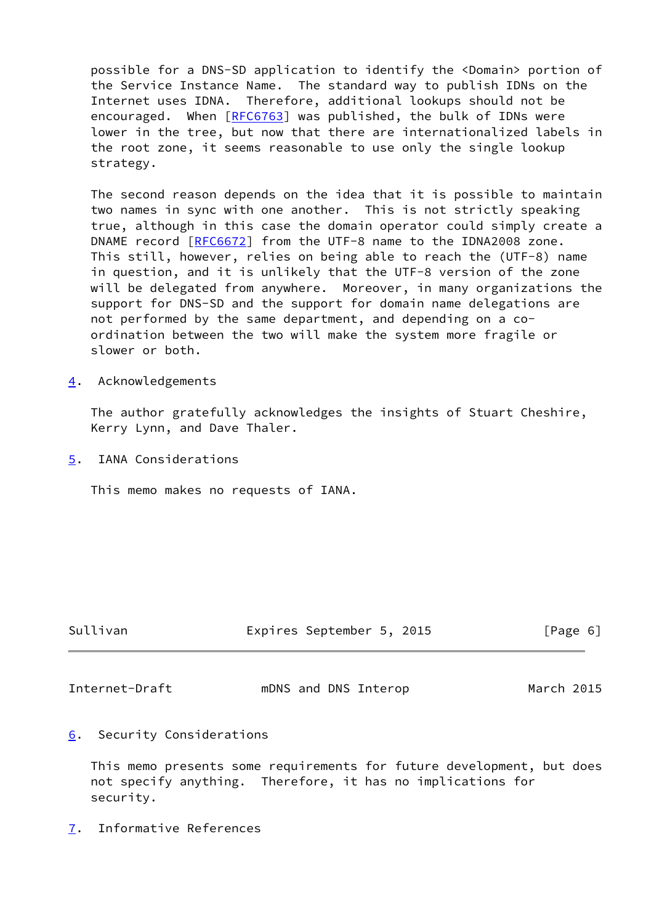possible for a DNS-SD application to identify the <Domain> portion of the Service Instance Name. The standard way to publish IDNs on the Internet uses IDNA. Therefore, additional lookups should not be encouraged. When [[RFC6763](https://datatracker.ietf.org/doc/pdf/rfc6763)] was published, the bulk of IDNs were lower in the tree, but now that there are internationalized labels in the root zone, it seems reasonable to use only the single lookup strategy.

 The second reason depends on the idea that it is possible to maintain two names in sync with one another. This is not strictly speaking true, although in this case the domain operator could simply create a DNAME record [\[RFC6672](https://datatracker.ietf.org/doc/pdf/rfc6672)] from the UTF-8 name to the IDNA2008 zone. This still, however, relies on being able to reach the (UTF-8) name in question, and it is unlikely that the UTF-8 version of the zone will be delegated from anywhere. Moreover, in many organizations the support for DNS-SD and the support for domain name delegations are not performed by the same department, and depending on a co ordination between the two will make the system more fragile or slower or both.

<span id="page-6-0"></span>[4](#page-6-0). Acknowledgements

 The author gratefully acknowledges the insights of Stuart Cheshire, Kerry Lynn, and Dave Thaler.

<span id="page-6-1"></span>[5](#page-6-1). IANA Considerations

This memo makes no requests of IANA.

| Sullivan | Expires September 5, 2015 | [Page 6] |  |
|----------|---------------------------|----------|--|
|          |                           |          |  |

<span id="page-6-3"></span>Internet-Draft mDNS and DNS Interop March 2015

<span id="page-6-2"></span>[6](#page-6-2). Security Considerations

 This memo presents some requirements for future development, but does not specify anything. Therefore, it has no implications for security.

<span id="page-6-4"></span>[7](#page-6-4). Informative References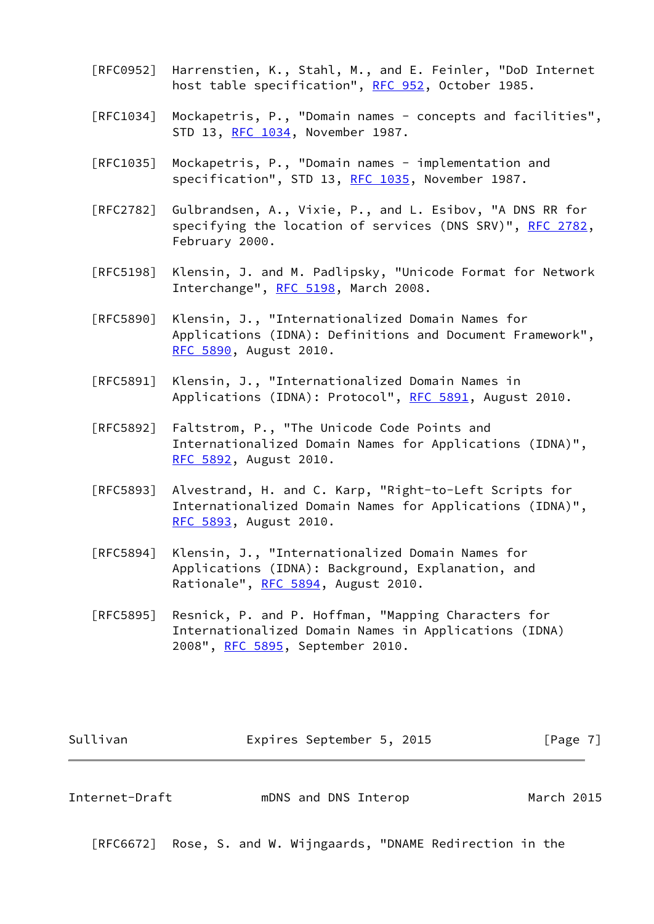- [RFC0952] Harrenstien, K., Stahl, M., and E. Feinler, "DoD Internet host table specification", [RFC 952](https://datatracker.ietf.org/doc/pdf/rfc952), October 1985.
- [RFC1034] Mockapetris, P., "Domain names concepts and facilities", STD 13, [RFC 1034,](https://datatracker.ietf.org/doc/pdf/rfc1034) November 1987.
- [RFC1035] Mockapetris, P., "Domain names implementation and specification", STD 13, [RFC 1035,](https://datatracker.ietf.org/doc/pdf/rfc1035) November 1987.
- [RFC2782] Gulbrandsen, A., Vixie, P., and L. Esibov, "A DNS RR for specifying the location of services (DNS SRV)", [RFC 2782,](https://datatracker.ietf.org/doc/pdf/rfc2782) February 2000.
- [RFC5198] Klensin, J. and M. Padlipsky, "Unicode Format for Network Interchange", [RFC 5198](https://datatracker.ietf.org/doc/pdf/rfc5198), March 2008.
- [RFC5890] Klensin, J., "Internationalized Domain Names for Applications (IDNA): Definitions and Document Framework", [RFC 5890,](https://datatracker.ietf.org/doc/pdf/rfc5890) August 2010.
- [RFC5891] Klensin, J., "Internationalized Domain Names in Applications (IDNA): Protocol", [RFC 5891,](https://datatracker.ietf.org/doc/pdf/rfc5891) August 2010.
- [RFC5892] Faltstrom, P., "The Unicode Code Points and Internationalized Domain Names for Applications (IDNA)", [RFC 5892,](https://datatracker.ietf.org/doc/pdf/rfc5892) August 2010.
- [RFC5893] Alvestrand, H. and C. Karp, "Right-to-Left Scripts for Internationalized Domain Names for Applications (IDNA)", [RFC 5893,](https://datatracker.ietf.org/doc/pdf/rfc5893) August 2010.
- [RFC5894] Klensin, J., "Internationalized Domain Names for Applications (IDNA): Background, Explanation, and Rationale", [RFC 5894,](https://datatracker.ietf.org/doc/pdf/rfc5894) August 2010.
- [RFC5895] Resnick, P. and P. Hoffman, "Mapping Characters for Internationalized Domain Names in Applications (IDNA) 2008", [RFC 5895](https://datatracker.ietf.org/doc/pdf/rfc5895), September 2010.

| Sullivan | Expires September 5, 2015 |  | [Page 7] |
|----------|---------------------------|--|----------|
|----------|---------------------------|--|----------|

<span id="page-7-0"></span>

| Internet-Draft |  | mDNS and DNS Interop | March 2015 |  |
|----------------|--|----------------------|------------|--|
|----------------|--|----------------------|------------|--|

[RFC6672] Rose, S. and W. Wijngaards, "DNAME Redirection in the